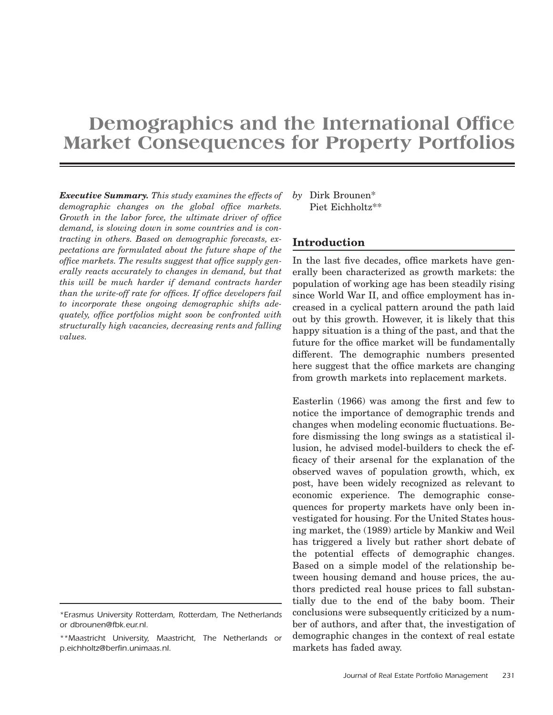# **Demographics and the International Office Market Consequences for Property Portfolios**

*Executive Summary. This study examines the effects of demographic changes on the global office markets. Growth in the labor force, the ultimate driver of office demand, is slowing down in some countries and is contracting in others. Based on demographic forecasts, expectations are formulated about the future shape of the office markets. The results suggest that office supply generally reacts accurately to changes in demand, but that this will be much harder if demand contracts harder than the write-off rate for offices. If office developers fail to incorporate these ongoing demographic shifts adequately, office portfolios might soon be confronted with structurally high vacancies, decreasing rents and falling values.*

*by* Dirk Brounen\* Piet Eichholtz\*\*

#### **Introduction**

In the last five decades, office markets have generally been characterized as growth markets: the population of working age has been steadily rising since World War II, and office employment has increased in a cyclical pattern around the path laid out by this growth. However, it is likely that this happy situation is a thing of the past, and that the future for the office market will be fundamentally different. The demographic numbers presented here suggest that the office markets are changing from growth markets into replacement markets.

Easterlin (1966) was among the first and few to notice the importance of demographic trends and changes when modeling economic fluctuations. Before dismissing the long swings as a statistical illusion, he advised model-builders to check the efficacy of their arsenal for the explanation of the observed waves of population growth, which, ex post, have been widely recognized as relevant to economic experience. The demographic consequences for property markets have only been investigated for housing. For the United States housing market, the (1989) article by Mankiw and Weil has triggered a lively but rather short debate of the potential effects of demographic changes. Based on a simple model of the relationship between housing demand and house prices, the authors predicted real house prices to fall substantially due to the end of the baby boom. Their conclusions were subsequently criticized by a number of authors, and after that, the investigation of demographic changes in the context of real estate markets has faded away.

*<sup>\*</sup>Erasmus University Rotterdam, Rotterdam, The Netherlands or dbrounen@fbk.eur.nl.*

*<sup>\*\*</sup>Maastricht University, Maastricht, The Netherlands or p.eichholtz@berfin.unimaas.nl.*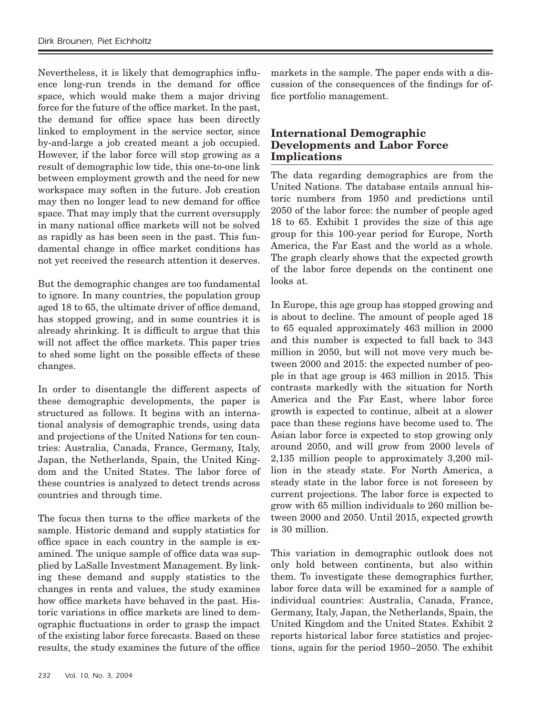Nevertheless, it is likely that demographics influence long-run trends in the demand for office space, which would make them a major driving force for the future of the office market. In the past, the demand for office space has been directly linked to employment in the service sector, since by-and-large a job created meant a job occupied. However, if the labor force will stop growing as a result of demographic low tide, this one-to-one link between employment growth and the need for new workspace may soften in the future. Job creation may then no longer lead to new demand for office space. That may imply that the current oversupply in many national office markets will not be solved as rapidly as has been seen in the past. This fundamental change in office market conditions has not yet received the research attention it deserves.

But the demographic changes are too fundamental to ignore. In many countries, the population group aged 18 to 65, the ultimate driver of office demand, has stopped growing, and in some countries it is already shrinking. It is difficult to argue that this will not affect the office markets. This paper tries to shed some light on the possible effects of these changes.

In order to disentangle the different aspects of these demographic developments, the paper is structured as follows. It begins with an international analysis of demographic trends, using data and projections of the United Nations for ten countries: Australia, Canada, France, Germany, Italy, Japan, the Netherlands, Spain, the United Kingdom and the United States. The labor force of these countries is analyzed to detect trends across countries and through time.

The focus then turns to the office markets of the sample. Historic demand and supply statistics for office space in each country in the sample is examined. The unique sample of office data was supplied by LaSalle Investment Management. By linking these demand and supply statistics to the changes in rents and values, the study examines how office markets have behaved in the past. Historic variations in office markets are lined to demographic fluctuations in order to grasp the impact of the existing labor force forecasts. Based on these results, the study examines the future of the office

markets in the sample. The paper ends with a discussion of the consequences of the findings for office portfolio management.

## **International Demographic Developments and Labor Force Implications**

The data regarding demographics are from the United Nations. The database entails annual historic numbers from 1950 and predictions until 2050 of the labor force: the number of people aged 18 to 65. Exhibit 1 provides the size of this age group for this 100-year period for Europe, North America, the Far East and the world as a whole. The graph clearly shows that the expected growth of the labor force depends on the continent one looks at.

In Europe, this age group has stopped growing and is about to decline. The amount of people aged 18 to 65 equaled approximately 463 million in 2000 and this number is expected to fall back to 343 million in 2050, but will not move very much between 2000 and 2015: the expected number of people in that age group is 463 million in 2015. This contrasts markedly with the situation for North America and the Far East, where labor force growth is expected to continue, albeit at a slower pace than these regions have become used to. The Asian labor force is expected to stop growing only around 2050, and will grow from 2000 levels of 2,135 million people to approximately 3,200 million in the steady state. For North America, a steady state in the labor force is not foreseen by current projections. The labor force is expected to grow with 65 million individuals to 260 million between 2000 and 2050. Until 2015, expected growth is 30 million.

This variation in demographic outlook does not only hold between continents, but also within them. To investigate these demographics further, labor force data will be examined for a sample of individual countries: Australia, Canada, France, Germany, Italy, Japan, the Netherlands, Spain, the United Kingdom and the United States. Exhibit 2 reports historical labor force statistics and projections, again for the period 1950–2050. The exhibit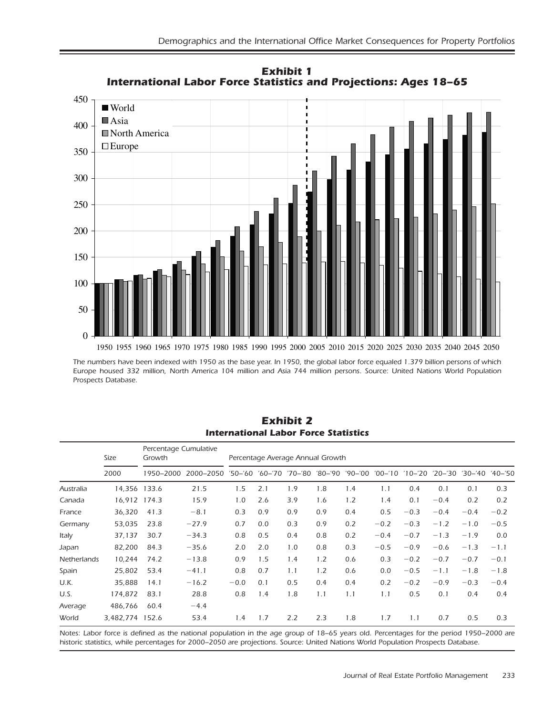

*Exhibit 1 International Labor Force Statistics and Projections: Ages 18–65*

*The numbers have been indexed with 1950 as the base year. In 1950, the global labor force equaled 1.379 billion persons of which Europe housed 332 million, North America 104 million and Asia 744 million persons. Source: United Nations World Population Prospects Database.*

|             | Size            | Percentage Cumulative<br>Growth | Percentage Average Annual Growth |        |     |                        |     |                 |        |                     |         |         |             |
|-------------|-----------------|---------------------------------|----------------------------------|--------|-----|------------------------|-----|-----------------|--------|---------------------|---------|---------|-------------|
|             | 2000            | 1950–2000                       | 2000-2050                        |        |     | 30-60 '60-'70 '70-'80' |     | '80-'90 '90-'00 |        | $'00-'10$ $'10-'20$ | ′20–′30 | ′30–′40 | $'40 - '50$ |
| Australia   | 14,356 133.6    |                                 | 21.5                             | 1.5    | 2.1 | 1.9                    | 1.8 | 1.4             | 1.1    | 0.4                 | 0.1     | 0.1     | 0.3         |
| Canada      | 16,912 174.3    |                                 | 15.9                             | 1.0    | 2.6 | 3.9                    | 1.6 | 1.2             | 1.4    | 0.1                 | $-0.4$  | 0.2     | 0.2         |
| France      | 36,320          | 41.3                            | $-8.1$                           | 0.3    | 0.9 | 0.9                    | 0.9 | 0.4             | 0.5    | $-0.3$              | $-0.4$  | $-0.4$  | $-0.2$      |
| Germany     | 53,035          | 23.8                            | $-27.9$                          | 0.7    | 0.0 | 0.3                    | 0.9 | 0.2             | $-0.2$ | $-0.3$              | $-1.2$  | $-1.0$  | $-0.5$      |
| Italy       | 37,137          | 30.7                            | $-34.3$                          | 0.8    | 0.5 | 0.4                    | 0.8 | 0.2             | $-0.4$ | $-0.7$              | $-1.3$  | $-1.9$  | 0.0         |
| Japan       | 82,200          | 84.3                            | $-35.6$                          | 2.0    | 2.0 | 1.0                    | 0.8 | 0.3             | $-0.5$ | $-0.9$              | $-0.6$  | $-1.3$  | $-1.1$      |
| Netherlands | 10,244          | 74.2                            | $-13.8$                          | 0.9    | 1.5 | 1.4                    | 1.2 | 0.6             | 0.3    | $-0.2$              | $-0.7$  | $-0.7$  | $-0.1$      |
| Spain       | 25,802          | 53.4                            | $-41.1$                          | 0.8    | 0.7 | 1.1                    | 1.2 | 0.6             | 0.0    | $-0.5$              | $-1.1$  | $-1.8$  | $-1.8$      |
| U.K.        | 35,888          | 14.1                            | $-16.2$                          | $-0.0$ | 0.1 | 0.5                    | 0.4 | 0.4             | 0.2    | $-0.2$              | $-0.9$  | $-0.3$  | $-0.4$      |
| U.S.        | 174,872         | 83.1                            | 28.8                             | 0.8    | 1.4 | 1.8                    | 1.1 | 1.1             | 1.1    | 0.5                 | 0.1     | 0.4     | 0.4         |
| Average     | 486,766         | 60.4                            | $-4.4$                           |        |     |                        |     |                 |        |                     |         |         |             |
| World       | 3.482.774 152.6 |                                 | 53.4                             | 1.4    | 1.7 | 2.2                    | 2.3 | 1.8             | 1.7    | 1.1                 | 0.7     | 0.5     | 0.3         |

*Exhibit 2 International Labor Force Statistics*

*Notes: Labor force is defined as the national population in the age group of 18–65 years old. Percentages for the period 1950–2000 are historic statistics, while percentages for 2000–2050 are projections. Source: United Nations World Population Prospects Database.*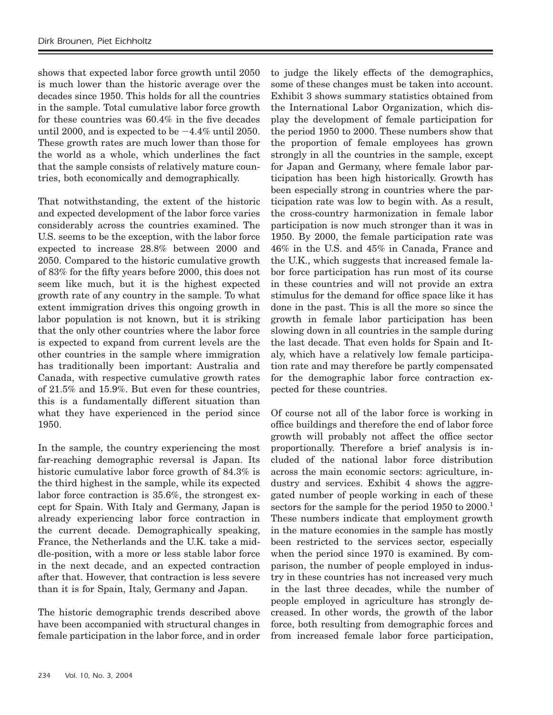shows that expected labor force growth until 2050 is much lower than the historic average over the decades since 1950. This holds for all the countries in the sample. Total cumulative labor force growth for these countries was 60.4% in the five decades until 2000, and is expected to be  $-4.4\%$  until 2050. These growth rates are much lower than those for the world as a whole, which underlines the fact that the sample consists of relatively mature countries, both economically and demographically.

That notwithstanding, the extent of the historic and expected development of the labor force varies considerably across the countries examined. The U.S. seems to be the exception, with the labor force expected to increase 28.8% between 2000 and 2050. Compared to the historic cumulative growth of 83% for the fifty years before 2000, this does not seem like much, but it is the highest expected growth rate of any country in the sample. To what extent immigration drives this ongoing growth in labor population is not known, but it is striking that the only other countries where the labor force is expected to expand from current levels are the other countries in the sample where immigration has traditionally been important: Australia and Canada, with respective cumulative growth rates of 21.5% and 15.9%. But even for these countries, this is a fundamentally different situation than what they have experienced in the period since 1950.

In the sample, the country experiencing the most far-reaching demographic reversal is Japan. Its historic cumulative labor force growth of 84.3% is the third highest in the sample, while its expected labor force contraction is 35.6%, the strongest except for Spain. With Italy and Germany, Japan is already experiencing labor force contraction in the current decade. Demographically speaking, France, the Netherlands and the U.K. take a middle-position, with a more or less stable labor force in the next decade, and an expected contraction after that. However, that contraction is less severe than it is for Spain, Italy, Germany and Japan.

The historic demographic trends described above have been accompanied with structural changes in female participation in the labor force, and in order to judge the likely effects of the demographics, some of these changes must be taken into account. Exhibit 3 shows summary statistics obtained from the International Labor Organization, which display the development of female participation for the period 1950 to 2000. These numbers show that the proportion of female employees has grown strongly in all the countries in the sample, except for Japan and Germany, where female labor participation has been high historically. Growth has been especially strong in countries where the participation rate was low to begin with. As a result, the cross-country harmonization in female labor participation is now much stronger than it was in 1950. By 2000, the female participation rate was 46% in the U.S. and 45% in Canada, France and the U.K., which suggests that increased female labor force participation has run most of its course in these countries and will not provide an extra stimulus for the demand for office space like it has done in the past. This is all the more so since the growth in female labor participation has been slowing down in all countries in the sample during the last decade. That even holds for Spain and Italy, which have a relatively low female participation rate and may therefore be partly compensated for the demographic labor force contraction expected for these countries.

Of course not all of the labor force is working in office buildings and therefore the end of labor force growth will probably not affect the office sector proportionally. Therefore a brief analysis is included of the national labor force distribution across the main economic sectors: agriculture, industry and services. Exhibit 4 shows the aggregated number of people working in each of these sectors for the sample for the period 1950 to 2000.<sup>1</sup> These numbers indicate that employment growth in the mature economies in the sample has mostly been restricted to the services sector, especially when the period since 1970 is examined. By comparison, the number of people employed in industry in these countries has not increased very much in the last three decades, while the number of people employed in agriculture has strongly decreased. In other words, the growth of the labor force, both resulting from demographic forces and from increased female labor force participation,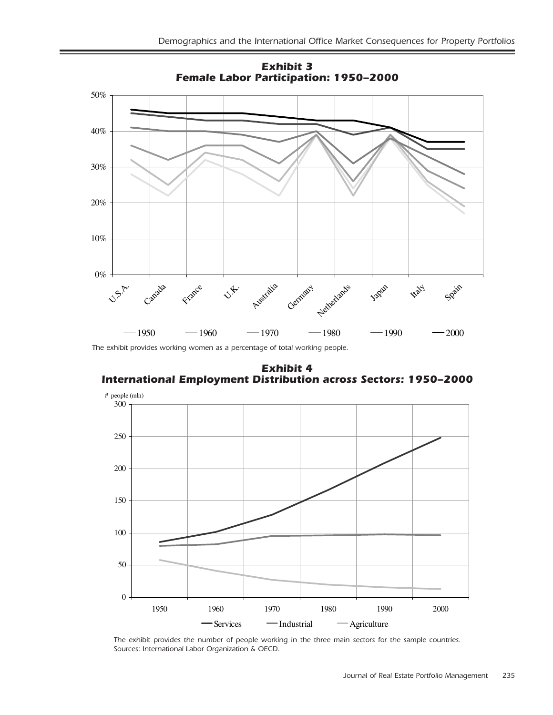

*Exhibit 3 Female Labor Participation: 1950–2000*

*The exhibit provides working women as a percentage of total working people.*

*Exhibit 4 International Employment Distribution across Sectors: 1950–2000*



*The exhibit provides the number of people working in the three main sectors for the sample countries. Sources: International Labor Organization & OECD.*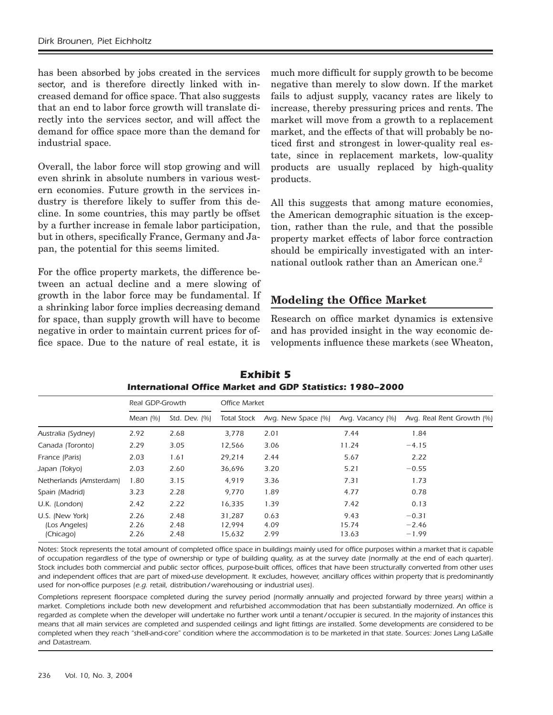has been absorbed by jobs created in the services sector, and is therefore directly linked with increased demand for office space. That also suggests that an end to labor force growth will translate directly into the services sector, and will affect the demand for office space more than the demand for industrial space.

Overall, the labor force will stop growing and will even shrink in absolute numbers in various western economies. Future growth in the services industry is therefore likely to suffer from this decline. In some countries, this may partly be offset by a further increase in female labor participation, but in others, specifically France, Germany and Japan, the potential for this seems limited.

For the office property markets, the difference between an actual decline and a mere slowing of growth in the labor force may be fundamental. If a shrinking labor force implies decreasing demand for space, than supply growth will have to become negative in order to maintain current prices for office space. Due to the nature of real estate, it is

much more difficult for supply growth to be become negative than merely to slow down. If the market fails to adjust supply, vacancy rates are likely to increase, thereby pressuring prices and rents. The market will move from a growth to a replacement market, and the effects of that will probably be noticed first and strongest in lower-quality real estate, since in replacement markets, low-quality products are usually replaced by high-quality products.

All this suggests that among mature economies, the American demographic situation is the exception, rather than the rule, and that the possible property market effects of labor force contraction should be empirically investigated with an international outlook rather than an American one.<sup>2</sup>

## **Modeling the Office Market**

Research on office market dynamics is extensive and has provided insight in the way economic developments influence these markets (see Wheaton,

|                                               | Real GDP-Growth      |                      | <b>Office Market</b>       |                      |                        |                               |  |  |
|-----------------------------------------------|----------------------|----------------------|----------------------------|----------------------|------------------------|-------------------------------|--|--|
|                                               | Mean $(%)$           | Std. Dev. (%)        | <b>Total Stock</b>         | Avg. New Space (%)   | Avg. Vacancy (%)       | Avg. Real Rent Growth (%)     |  |  |
| Australia (Sydney)                            | 2.92                 | 2.68                 | 3,778                      | 2.01                 | 7.44                   | 1.84                          |  |  |
| Canada (Toronto)                              | 2.29                 | 3.05                 | 12,566                     | 3.06                 | 11.24                  | $-4.15$                       |  |  |
| France (Paris)                                | 2.03                 | 1.61                 | 29.214                     | 2.44                 | 5.67                   | 2.22                          |  |  |
| Japan (Tokyo)                                 | 2.03                 | 2.60                 | 36,696                     | 3.20                 | 5.21                   | $-0.55$                       |  |  |
| Netherlands (Amsterdam)                       | 1.80                 | 3.15                 | 4.919                      | 3.36                 | 7.31                   | 1.73                          |  |  |
| Spain (Madrid)                                | 3.23                 | 2.28                 | 9.770                      | 1.89                 | 4.77                   | 0.78                          |  |  |
| U.K. (London)                                 | 2.42                 | 2.22                 | 16.335                     | 1.39                 | 7.42                   | 0.13                          |  |  |
| U.S. (New York)<br>(Los Angeles)<br>(Chicago) | 2.26<br>2.26<br>2.26 | 2.48<br>2.48<br>2.48 | 31.287<br>12.994<br>15,632 | 0.63<br>4.09<br>2.99 | 9.43<br>15.74<br>13.63 | $-0.31$<br>$-2.46$<br>$-1.99$ |  |  |

*Exhibit 5 International Office Market and GDP Statistics: 1980–2000*

*Notes: Stock represents the total amount of completed office space in buildings mainly used for office purposes within a market that is capable of occupation regardless of the type of ownership or type of building quality, as at the survey date (normally at the end of each quarter). Stock includes both commercial and public sector offices, purpose-built offices, offices that have been structurally converted from other uses and independent offices that are part of mixed-use development. It excludes, however, ancillary offices within property that is predominantly used for non-office purposes (e.g. retail, distribution/warehousing or industrial uses).*

*Completions represent floorspace completed during the survey period (normally annually and projected forward by three years) within a market. Completions include both new development and refurbished accommodation that has been substantially modernized. An office is regarded as complete when the developer will undertake no further work until a tenant/occupier is secured. In the majority of instances this means that all main services are completed and suspended ceilings and light fittings are installed. Some developments are considered to be completed when they reach ''shell-and-core'' condition where the accommodation is to be marketed in that state. Sources: Jones Lang LaSalle and Datastream.*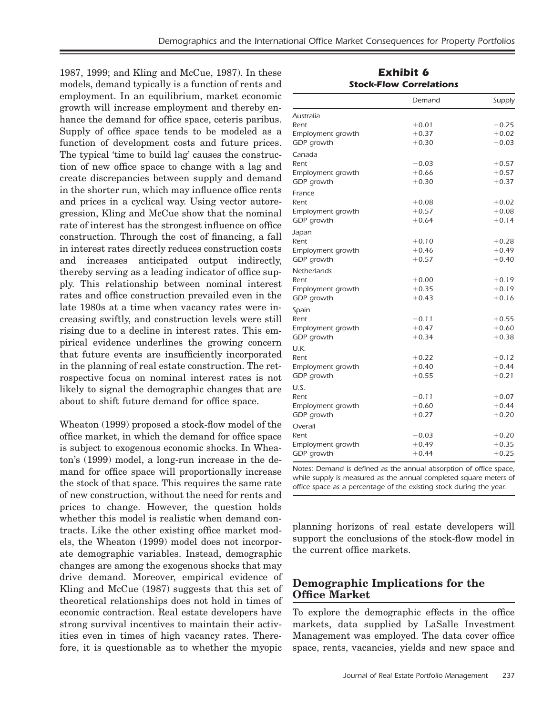1987, 1999; and Kling and McCue, 1987). In these models, demand typically is a function of rents and employment. In an equilibrium, market economic growth will increase employment and thereby enhance the demand for office space, ceteris paribus. Supply of office space tends to be modeled as a function of development costs and future prices. The typical 'time to build lag' causes the construction of new office space to change with a lag and create discrepancies between supply and demand in the shorter run, which may influence office rents and prices in a cyclical way. Using vector autoregression, Kling and McCue show that the nominal rate of interest has the strongest influence on office construction. Through the cost of financing, a fall in interest rates directly reduces construction costs and increases anticipated output indirectly, thereby serving as a leading indicator of office supply. This relationship between nominal interest rates and office construction prevailed even in the late 1980s at a time when vacancy rates were increasing swiftly, and construction levels were still rising due to a decline in interest rates. This empirical evidence underlines the growing concern that future events are insufficiently incorporated in the planning of real estate construction. The retrospective focus on nominal interest rates is not likely to signal the demographic changes that are about to shift future demand for office space.

Wheaton (1999) proposed a stock-flow model of the office market, in which the demand for office space is subject to exogenous economic shocks. In Wheaton's (1999) model, a long-run increase in the demand for office space will proportionally increase the stock of that space. This requires the same rate of new construction, without the need for rents and prices to change. However, the question holds whether this model is realistic when demand contracts. Like the other existing office market models, the Wheaton (1999) model does not incorporate demographic variables. Instead, demographic changes are among the exogenous shocks that may drive demand. Moreover, empirical evidence of Kling and McCue (1987) suggests that this set of theoretical relationships does not hold in times of economic contraction. Real estate developers have strong survival incentives to maintain their activities even in times of high vacancy rates. Therefore, it is questionable as to whether the myopic

| <b>Exhibit 6</b>               |  |
|--------------------------------|--|
| <b>Stock-Flow Correlations</b> |  |

|                   | Demand  | Supply  |
|-------------------|---------|---------|
| Australia         |         |         |
| Rent              | $+0.01$ | $-0.25$ |
| Employment growth | $+0.37$ | $+0.02$ |
| GDP growth        | $+0.30$ | $-0.03$ |
| Canada            |         |         |
| Rent              | $-0.03$ | $+0.57$ |
| Employment growth | $+0.66$ | $+0.57$ |
| GDP growth        | $+0.30$ | $+0.37$ |
| France            |         |         |
| Rent              | $+0.08$ | $+0.02$ |
| Employment growth | $+0.57$ | $+0.08$ |
| GDP growth        | $+0.64$ | $+0.14$ |
| Japan             |         |         |
| Rent              | $+0.10$ | $+0.28$ |
| Employment growth | $+0.46$ | $+0.49$ |
| GDP growth        | $+0.57$ | $+0.40$ |
| Netherlands       |         |         |
| Rent              | $+0.00$ | $+0.19$ |
| Employment growth | $+0.35$ | $+0.19$ |
| GDP growth        | $+0.43$ | $+0.16$ |
| Spain             |         |         |
| Rent              | $-0.11$ | $+0.55$ |
| Employment growth | $+0.47$ | $+0.60$ |
| GDP growth        | $+0.34$ | $+0.38$ |
| U.K.              |         |         |
| Rent              | $+0.22$ | $+0.12$ |
| Employment growth | $+0.40$ | $+0.44$ |
| GDP growth        | $+0.55$ | $+0.21$ |
| U.S.              |         |         |
| Rent              | $-0.11$ | $+0.07$ |
| Employment growth | $+0.60$ | $+0.44$ |
| GDP growth        | $+0.27$ | $+0.20$ |
| Overall           |         |         |
| Rent              | $-0.03$ | $+0.20$ |
| Employment growth | $+0.49$ | $+0.35$ |
| GDP growth        | $+0.44$ | $+0.25$ |

*Notes: Demand is defined as the annual absorption of office space, while supply is measured as the annual completed square meters of office space as a percentage of the existing stock during the year.*

planning horizons of real estate developers will support the conclusions of the stock-flow model in the current office markets.

## **Demographic Implications for the Office Market**

To explore the demographic effects in the office markets, data supplied by LaSalle Investment Management was employed. The data cover office space, rents, vacancies, yields and new space and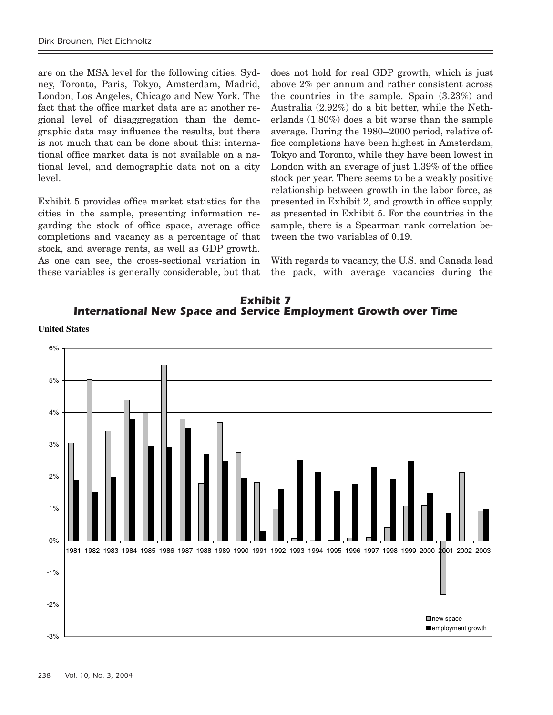are on the MSA level for the following cities: Sydney, Toronto, Paris, Tokyo, Amsterdam, Madrid, London, Los Angeles, Chicago and New York. The fact that the office market data are at another regional level of disaggregation than the demographic data may influence the results, but there is not much that can be done about this: international office market data is not available on a national level, and demographic data not on a city level.

Exhibit 5 provides office market statistics for the cities in the sample, presenting information regarding the stock of office space, average office completions and vacancy as a percentage of that stock, and average rents, as well as GDP growth. As one can see, the cross-sectional variation in these variables is generally considerable, but that does not hold for real GDP growth, which is just above 2% per annum and rather consistent across the countries in the sample. Spain (3.23%) and Australia (2.92%) do a bit better, while the Netherlands (1.80%) does a bit worse than the sample average. During the 1980–2000 period, relative office completions have been highest in Amsterdam, Tokyo and Toronto, while they have been lowest in London with an average of just 1.39% of the office stock per year. There seems to be a weakly positive relationship between growth in the labor force, as presented in Exhibit 2, and growth in office supply, as presented in Exhibit 5. For the countries in the sample, there is a Spearman rank correlation between the two variables of 0.19.

With regards to vacancy, the U.S. and Canada lead the pack, with average vacancies during the

*Exhibit 7 International New Space and Service Employment Growth over Time*



**United States**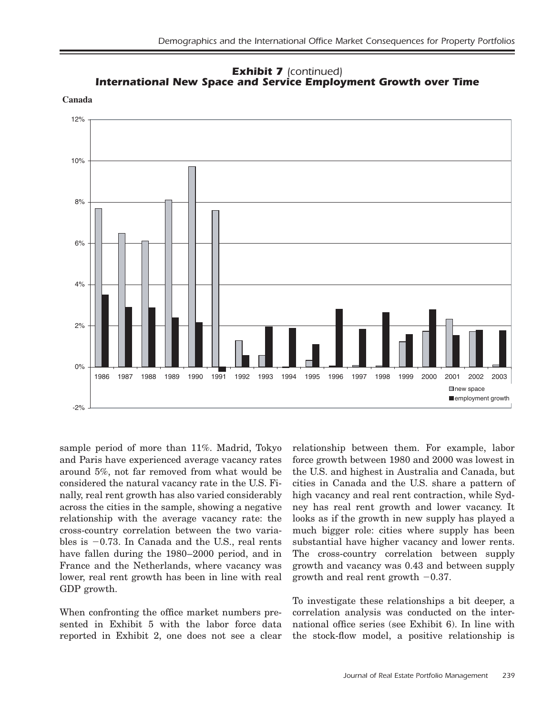

*Exhibit 7 (continued) International New Space and Service Employment Growth over Time*

sample period of more than 11%. Madrid, Tokyo and Paris have experienced average vacancy rates around 5%, not far removed from what would be considered the natural vacancy rate in the U.S. Finally, real rent growth has also varied considerably across the cities in the sample, showing a negative relationship with the average vacancy rate: the cross-country correlation between the two variables is  $-0.73$ . In Canada and the U.S., real rents have fallen during the 1980–2000 period, and in France and the Netherlands, where vacancy was lower, real rent growth has been in line with real GDP growth.

When confronting the office market numbers presented in Exhibit 5 with the labor force data reported in Exhibit 2, one does not see a clear relationship between them. For example, labor force growth between 1980 and 2000 was lowest in the U.S. and highest in Australia and Canada, but cities in Canada and the U.S. share a pattern of high vacancy and real rent contraction, while Sydney has real rent growth and lower vacancy. It looks as if the growth in new supply has played a much bigger role: cities where supply has been substantial have higher vacancy and lower rents. The cross-country correlation between supply growth and vacancy was 0.43 and between supply growth and real rent growth  $-0.37$ .

To investigate these relationships a bit deeper, a correlation analysis was conducted on the international office series (see Exhibit 6). In line with the stock-flow model, a positive relationship is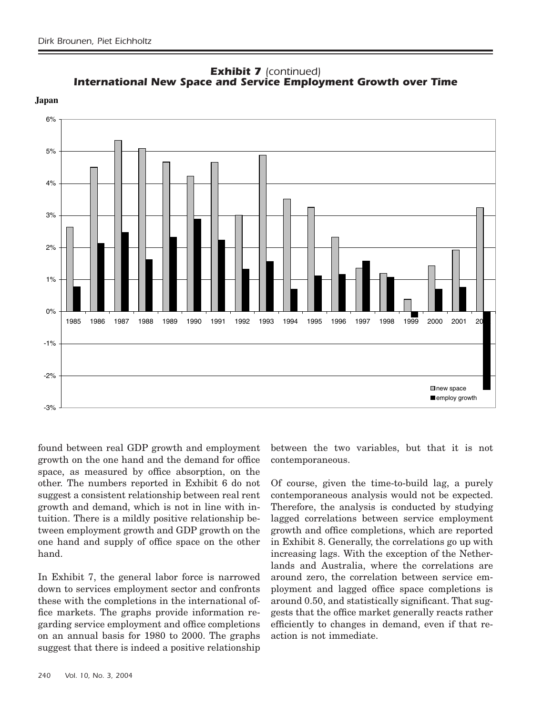

*Exhibit 7 (continued) International New Space and Service Employment Growth over Time*

found between real GDP growth and employment growth on the one hand and the demand for office space, as measured by office absorption, on the other. The numbers reported in Exhibit 6 do not suggest a consistent relationship between real rent growth and demand, which is not in line with intuition. There is a mildly positive relationship between employment growth and GDP growth on the one hand and supply of office space on the other hand.

In Exhibit 7, the general labor force is narrowed down to services employment sector and confronts these with the completions in the international office markets. The graphs provide information regarding service employment and office completions on an annual basis for 1980 to 2000. The graphs suggest that there is indeed a positive relationship between the two variables, but that it is not contemporaneous.

Of course, given the time-to-build lag, a purely contemporaneous analysis would not be expected. Therefore, the analysis is conducted by studying lagged correlations between service employment growth and office completions, which are reported in Exhibit 8. Generally, the correlations go up with increasing lags. With the exception of the Netherlands and Australia, where the correlations are around zero, the correlation between service employment and lagged office space completions is around 0.50, and statistically significant. That suggests that the office market generally reacts rather efficiently to changes in demand, even if that reaction is not immediate.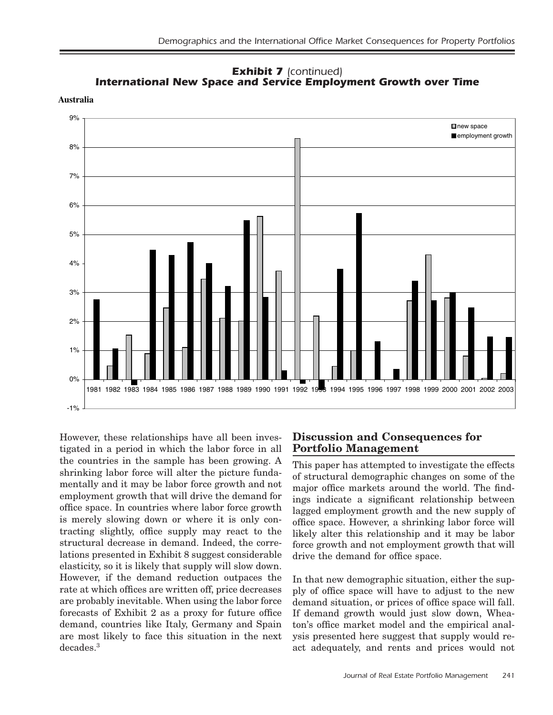

*Exhibit 7 (continued) International New Space and Service Employment Growth over Time*

However, these relationships have all been investigated in a period in which the labor force in all the countries in the sample has been growing. A shrinking labor force will alter the picture fundamentally and it may be labor force growth and not employment growth that will drive the demand for office space. In countries where labor force growth is merely slowing down or where it is only contracting slightly, office supply may react to the structural decrease in demand. Indeed, the correlations presented in Exhibit 8 suggest considerable elasticity, so it is likely that supply will slow down. However, if the demand reduction outpaces the rate at which offices are written off, price decreases are probably inevitable. When using the labor force forecasts of Exhibit 2 as a proxy for future office demand, countries like Italy, Germany and Spain are most likely to face this situation in the next decades<sup>3</sup>

## **Discussion and Consequences for Portfolio Management**

This paper has attempted to investigate the effects of structural demographic changes on some of the major office markets around the world. The findings indicate a significant relationship between lagged employment growth and the new supply of office space. However, a shrinking labor force will likely alter this relationship and it may be labor force growth and not employment growth that will drive the demand for office space.

In that new demographic situation, either the supply of office space will have to adjust to the new demand situation, or prices of office space will fall. If demand growth would just slow down, Wheaton's office market model and the empirical analysis presented here suggest that supply would react adequately, and rents and prices would not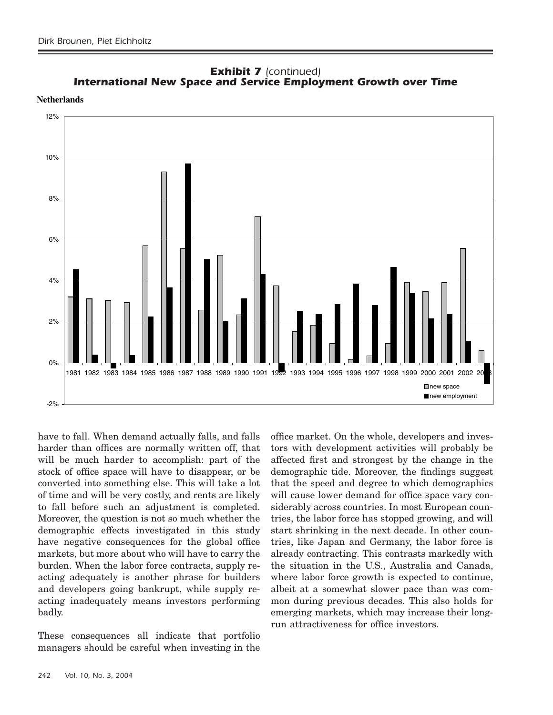

*Exhibit 7 (continued) International New Space and Service Employment Growth over Time*

**Netherlands**

have to fall. When demand actually falls, and falls harder than offices are normally written off, that will be much harder to accomplish: part of the stock of office space will have to disappear, or be converted into something else. This will take a lot of time and will be very costly, and rents are likely to fall before such an adjustment is completed. Moreover, the question is not so much whether the demographic effects investigated in this study have negative consequences for the global office markets, but more about who will have to carry the burden. When the labor force contracts, supply reacting adequately is another phrase for builders and developers going bankrupt, while supply reacting inadequately means investors performing badly.

These consequences all indicate that portfolio managers should be careful when investing in the

office market. On the whole, developers and investors with development activities will probably be affected first and strongest by the change in the demographic tide. Moreover, the findings suggest that the speed and degree to which demographics will cause lower demand for office space vary considerably across countries. In most European countries, the labor force has stopped growing, and will start shrinking in the next decade. In other countries, like Japan and Germany, the labor force is already contracting. This contrasts markedly with the situation in the U.S., Australia and Canada, where labor force growth is expected to continue, albeit at a somewhat slower pace than was common during previous decades. This also holds for emerging markets, which may increase their longrun attractiveness for office investors.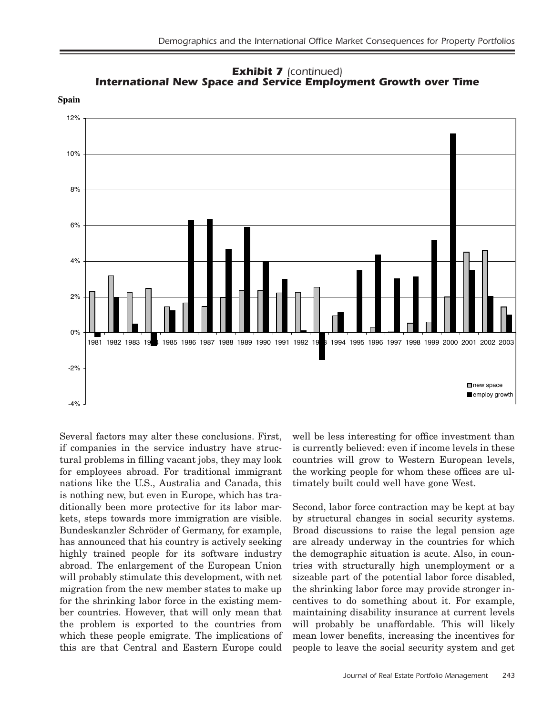

*Exhibit 7 (continued) International New Space and Service Employment Growth over Time*

Several factors may alter these conclusions. First, if companies in the service industry have structural problems in filling vacant jobs, they may look for employees abroad. For traditional immigrant nations like the U.S., Australia and Canada, this is nothing new, but even in Europe, which has traditionally been more protective for its labor markets, steps towards more immigration are visible. Bundeskanzler Schröder of Germany, for example, has announced that his country is actively seeking highly trained people for its software industry abroad. The enlargement of the European Union will probably stimulate this development, with net migration from the new member states to make up for the shrinking labor force in the existing member countries. However, that will only mean that the problem is exported to the countries from which these people emigrate. The implications of this are that Central and Eastern Europe could

well be less interesting for office investment than is currently believed: even if income levels in these countries will grow to Western European levels, the working people for whom these offices are ultimately built could well have gone West.

Second, labor force contraction may be kept at bay by structural changes in social security systems. Broad discussions to raise the legal pension age are already underway in the countries for which the demographic situation is acute. Also, in countries with structurally high unemployment or a sizeable part of the potential labor force disabled, the shrinking labor force may provide stronger incentives to do something about it. For example, maintaining disability insurance at current levels will probably be unaffordable. This will likely mean lower benefits, increasing the incentives for people to leave the social security system and get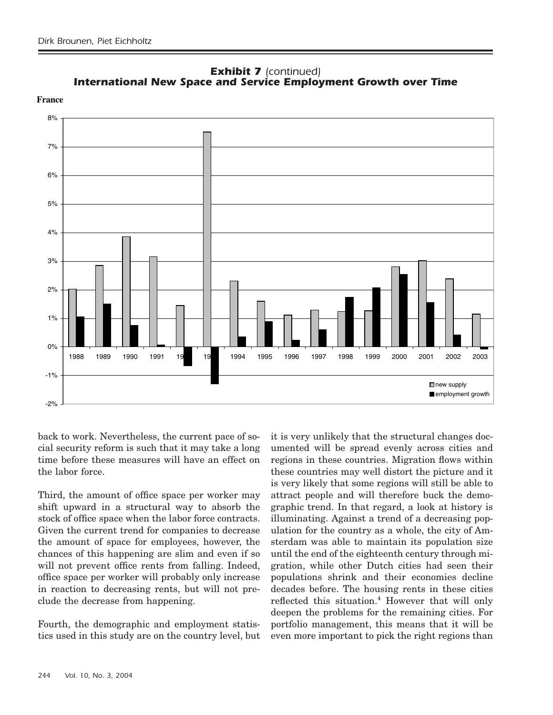

*Exhibit 7 (continued) International New Space and Service Employment Growth over Time*

back to work. Nevertheless, the current pace of social security reform is such that it may take a long time before these measures will have an effect on the labor force.

Third, the amount of office space per worker may shift upward in a structural way to absorb the stock of office space when the labor force contracts. Given the current trend for companies to decrease the amount of space for employees, however, the chances of this happening are slim and even if so will not prevent office rents from falling. Indeed, office space per worker will probably only increase in reaction to decreasing rents, but will not preclude the decrease from happening.

Fourth, the demographic and employment statistics used in this study are on the country level, but it is very unlikely that the structural changes documented will be spread evenly across cities and regions in these countries. Migration flows within these countries may well distort the picture and it is very likely that some regions will still be able to attract people and will therefore buck the demographic trend. In that regard, a look at history is illuminating. Against a trend of a decreasing population for the country as a whole, the city of Amsterdam was able to maintain its population size until the end of the eighteenth century through migration, while other Dutch cities had seen their populations shrink and their economies decline decades before. The housing rents in these cities reflected this situation.4 However that will only deepen the problems for the remaining cities. For portfolio management, this means that it will be even more important to pick the right regions than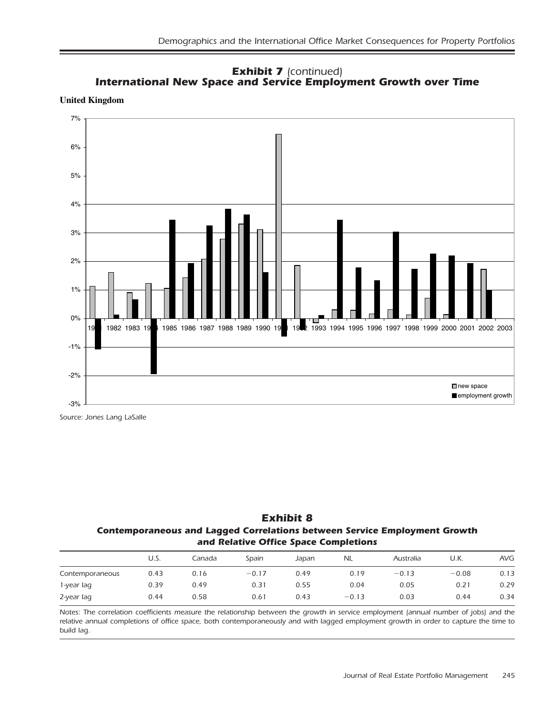





*Source: Jones Lang LaSalle*

| <b>Exhibit 8</b>                                                          |
|---------------------------------------------------------------------------|
| Contemporaneous and Lagged Correlations between Service Employment Growth |
| and Relative Office Space Completions                                     |

|                 | U.S. | Canada | Spain   | Japan | <b>NL</b> | Australia | U.K.    | <b>AVG</b> |  |
|-----------------|------|--------|---------|-------|-----------|-----------|---------|------------|--|
| Contemporaneous | 0.43 | 0.16   | $-0.17$ | 0.49  | 0.19      | $-0.13$   | $-0.08$ | 0.13       |  |
| 1-year lag      | 0.39 | 0.49   | 0.31    | 0.55  | 0.04      | 0.05      | 0.21    | 0.29       |  |
| 2-year lag      | 0.44 | 0.58   | 0.61    | 0.43  | $-0.13$   | 0.03      | 0.44    | 0.34       |  |

*Notes: The correlation coefficients measure the relationship between the growth in service employment (annual number of jobs) and the relative annual completions of office space, both contemporaneously and with lagged employment growth in order to capture the time to build lag.*